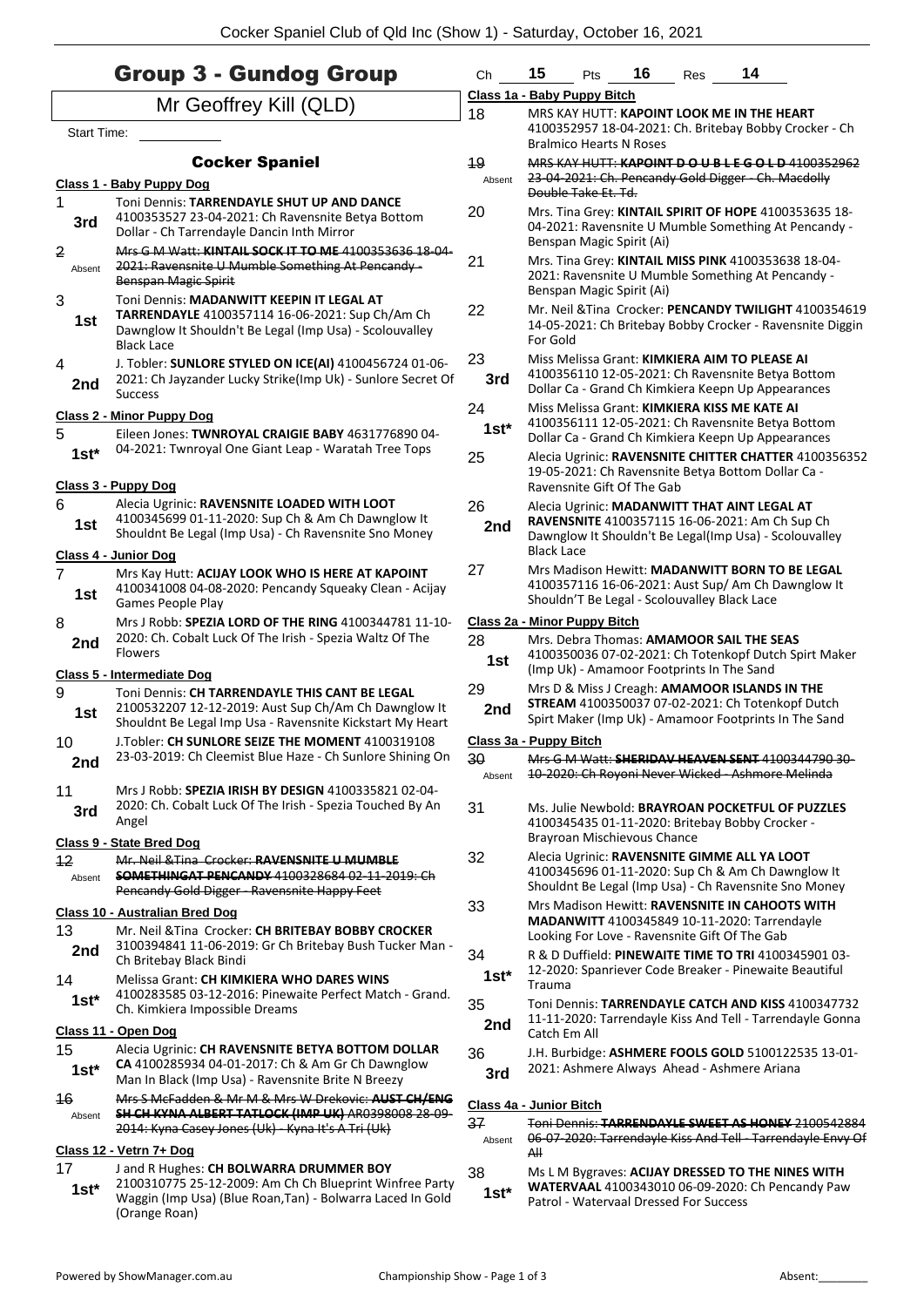|                          | <b>Group 3 - Gundog Group</b>                                                                                                                                                                            | Ch            | 15                                                                        | Pts | 16 | Res | 14                                                                                                                                                         |
|--------------------------|----------------------------------------------------------------------------------------------------------------------------------------------------------------------------------------------------------|---------------|---------------------------------------------------------------------------|-----|----|-----|------------------------------------------------------------------------------------------------------------------------------------------------------------|
|                          | Mr Geoffrey Kill (QLD)                                                                                                                                                                                   |               | Class 1a - Baby Puppy Bitch                                               |     |    |     |                                                                                                                                                            |
| Start Time:              |                                                                                                                                                                                                          | 18            | <b>Bralmico Hearts N Roses</b>                                            |     |    |     | MRS KAY HUTT: KAPOINT LOOK ME IN THE HEART<br>4100352957 18-04-2021: Ch. Britebay Bobby Crocker - Ch                                                       |
|                          | <b>Cocker Spaniel</b>                                                                                                                                                                                    | 19            |                                                                           |     |    |     | MRS KAY HUTT: KAPOINT D O U B L E G O L D 4100352962                                                                                                       |
|                          | Class 1 - Baby Puppy Dog                                                                                                                                                                                 | Absent        | Double Take Et. Td.                                                       |     |    |     | 23-04-2021: Ch. Pencandy Gold Digger - Ch. Macdolly                                                                                                        |
| 1<br>3rd                 | Toni Dennis: TARRENDAYLE SHUT UP AND DANCE<br>4100353527 23-04-2021: Ch Ravensnite Betya Bottom<br>Dollar - Ch Tarrendayle Dancin Inth Mirror                                                            | 20            |                                                                           |     |    |     | Mrs. Tina Grey: KINTAIL SPIRIT OF HOPE 4100353635 18-<br>04-2021: Ravensnite U Mumble Something At Pencandy -                                              |
| $\overline{2}$<br>Absent | Mrs G M Watt: KINTAIL SOCK IT TO ME 4100353636 18 04<br>2021: Ravensnite U Mumble Something At Pencandy -<br><b>Benspan Magic Spirit</b>                                                                 | 21            | Benspan Magic Spirit (Ai)                                                 |     |    |     | Mrs. Tina Grey: KINTAIL MISS PINK 4100353638 18-04-<br>2021: Ravensnite U Mumble Something At Pencandy -                                                   |
| 3<br>1st                 | Toni Dennis: MADANWITT KEEPIN IT LEGAL AT<br>TARRENDAYLE 4100357114 16-06-2021: Sup Ch/Am Ch<br>Dawnglow It Shouldn't Be Legal (Imp Usa) - Scolouvalley<br><b>Black Lace</b>                             | 22            | Benspan Magic Spirit (Ai)<br>For Gold                                     |     |    |     | Mr. Neil & Tina Crocker: PENCANDY TWILIGHT 4100354619<br>14-05-2021: Ch Britebay Bobby Crocker - Ravensnite Diggin                                         |
| 4<br>2nd                 | J. Tobler: SUNLORE STYLED ON ICE(AI) 4100456724 01-06-<br>2021: Ch Jayzander Lucky Strike(Imp Uk) - Sunlore Secret Of<br><b>Success</b>                                                                  | 23<br>3rd     |                                                                           |     |    |     | Miss Melissa Grant: KIMKIERA AIM TO PLEASE AI<br>4100356110 12-05-2021: Ch Ravensnite Betya Bottom<br>Dollar Ca - Grand Ch Kimkiera Keepn Up Appearances   |
| 5                        | <b>Class 2 - Minor Puppy Dog</b><br>Eileen Jones: TWNROYAL CRAIGIE BABY 4631776890 04-                                                                                                                   | 24<br>$1st^*$ |                                                                           |     |    |     | Miss Melissa Grant: KIMKIERA KISS ME KATE AI<br>4100356111 12-05-2021: Ch Ravensnite Betya Bottom<br>Dollar Ca - Grand Ch Kimkiera Keepn Up Appearances    |
| $1st*$                   | 04-2021: Twnroyal One Giant Leap - Waratah Tree Tops<br><b>Class 3 - Puppy Dog</b>                                                                                                                       | 25            | Ravensnite Gift Of The Gab                                                |     |    |     | Alecia Ugrinic: RAVENSNITE CHITTER CHATTER 4100356352<br>19-05-2021: Ch Ravensnite Betya Bottom Dollar Ca -                                                |
| 6<br>1st                 | Alecia Ugrinic: RAVENSNITE LOADED WITH LOOT<br>4100345699 01-11-2020: Sup Ch & Am Ch Dawnglow It<br>Shouldnt Be Legal (Imp Usa) - Ch Ravensnite Sno Money<br>Class 4 - Junior Dog                        | 26<br>2nd     | <b>Black Lace</b>                                                         |     |    |     | Alecia Ugrinic: MADANWITT THAT AINT LEGAL AT<br>RAVENSNITE 4100357115 16-06-2021: Am Ch Sup Ch<br>Dawnglow It Shouldn't Be Legal(Imp Usa) - Scolouvalley   |
| $\overline{7}$<br>1st    | Mrs Kay Hutt: ACIJAY LOOK WHO IS HERE AT KAPOINT<br>4100341008 04-08-2020: Pencandy Squeaky Clean - Acijay<br>Games People Play                                                                          | 27            | Shouldn'T Be Legal - Scolouvalley Black Lace                              |     |    |     | Mrs Madison Hewitt: MADANWITT BORN TO BE LEGAL<br>4100357116 16-06-2021: Aust Sup/ Am Ch Dawnglow It                                                       |
| 8<br>2nd                 | Mrs J Robb: SPEZIA LORD OF THE RING 4100344781 11-10-<br>2020: Ch. Cobalt Luck Of The Irish - Spezia Waltz Of The<br><b>Flowers</b>                                                                      | 28<br>1st     | Class 2a - Minor Puppy Bitch<br>(Imp Uk) - Amamoor Footprints In The Sand |     |    |     | Mrs. Debra Thomas: AMAMOOR SAIL THE SEAS<br>4100350036 07-02-2021: Ch Totenkopf Dutch Spirt Maker                                                          |
| 9<br>1st                 | <b>Class 5 - Intermediate Dog</b><br>Toni Dennis: CH TARRENDAYLE THIS CANT BE LEGAL<br>2100532207 12-12-2019: Aust Sup Ch/Am Ch Dawnglow It<br>Shouldnt Be Legal Imp Usa - Ravensnite Kickstart My Heart | 29<br>2nd     |                                                                           |     |    |     | Mrs D & Miss J Creagh: AMAMOOR ISLANDS IN THE<br>STREAM 4100350037 07-02-2021: Ch Totenkopf Dutch<br>Spirt Maker (Imp Uk) - Amamoor Footprints In The Sand |
| 10<br>2nd                | J. Tobler: CH SUNLORE SEIZE THE MOMENT 4100319108<br>23-03-2019: Ch Cleemist Blue Haze - Ch Sunlore Shining On                                                                                           | 30            | Class 3a - Puppy Bitch                                                    |     |    |     | Mrs G M Watt: SHERIDAV HEAVEN SENT 4100344790 30-<br>10-2020: Ch Royoni Never Wicked Ashmore Melinda                                                       |
| 11<br>3rd                | Mrs J Robb: SPEZIA IRISH BY DESIGN 4100335821 02-04-<br>2020: Ch. Cobalt Luck Of The Irish - Spezia Touched By An<br>Angel                                                                               | Absent<br>31  | Brayroan Mischievous Chance                                               |     |    |     | Ms. Julie Newbold: BRAYROAN POCKETFUL OF PUZZLES<br>4100345435 01-11-2020: Britebay Bobby Crocker -                                                        |
| 12<br>Absent             | Class 9 - State Bred Dog<br>Mr. Neil & Tina Crocker: RAVENSNITE U MUMBLE<br><b>SOMETHINGAT PENCANDY 4100328684 02-11-2019: Ch</b><br>Pencandy Gold Digger - Ravensnite Happy Feet                        | 32            |                                                                           |     |    |     | Alecia Ugrinic: RAVENSNITE GIMME ALL YA LOOT<br>4100345696 01-11-2020: Sup Ch & Am Ch Dawnglow It<br>Shouldnt Be Legal (Imp Usa) - Ch Ravensnite Sno Money |
| 13                       | <b>Class 10 - Australian Bred Dog</b><br>Mr. Neil & Tina Crocker: CH BRITEBAY BOBBY CROCKER                                                                                                              | 33            |                                                                           |     |    |     | Mrs Madison Hewitt: RAVENSNITE IN CAHOOTS WITH<br>MADANWITT 4100345849 10-11-2020: Tarrendayle<br>Looking For Love - Ravensnite Gift Of The Gab            |
| 2nd<br>14                | 3100394841 11-06-2019: Gr Ch Britebay Bush Tucker Man -<br>Ch Britebay Black Bindi<br>Melissa Grant: CH KIMKIERA WHO DARES WINS                                                                          | 34<br>$1st*$  | Trauma                                                                    |     |    |     | R & D Duffield: PINEWAITE TIME TO TRI 4100345901 03-<br>12-2020: Spanriever Code Breaker - Pinewaite Beautiful                                             |
| $1st^*$                  | 4100283585 03-12-2016: Pinewaite Perfect Match - Grand.<br>Ch. Kimkiera Impossible Dreams                                                                                                                | 35<br>2nd     |                                                                           |     |    |     | Toni Dennis: TARRENDAYLE CATCH AND KISS 4100347732<br>11-11-2020: Tarrendayle Kiss And Tell - Tarrendayle Gonna                                            |
| 15<br>$1st*$             | Class 11 - Open Dog<br>Alecia Ugrinic: CH RAVENSNITE BETYA BOTTOM DOLLAR<br>CA 4100285934 04-01-2017: Ch & Am Gr Ch Dawnglow<br>Man In Black (Imp Usa) - Ravensnite Brite N Breezy                       | 36<br>3rd     | Catch Em All                                                              |     |    |     | J.H. Burbidge: ASHMERE FOOLS GOLD 5100122535 13-01-<br>2021: Ashmere Always Ahead - Ashmere Ariana                                                         |
| 46                       | Mrs S McFadden & Mr M & Mrs W Drekovic: AUST CH/ENG                                                                                                                                                      |               | <b>Class 4a - Junior Bitch</b>                                            |     |    |     |                                                                                                                                                            |
| Absent                   | SH CH KYNA ALBERT TATLOCK (IMP UK) AR0398008 28-09-<br>2014: Kyna Casey Jones (Uk) - Kyna It's A Tri (Uk)                                                                                                | 37            |                                                                           |     |    |     | Toni Dennis: TARRENDAYLE SWEET AS HONEY 2100542884                                                                                                         |
|                          | Class 12 - Vetrn 7+ Dog                                                                                                                                                                                  | Absent        | A⊪                                                                        |     |    |     | 06 07 2020: Tarrendayle Kiss And Tell Tarrendayle Envy Of                                                                                                  |
| 17<br>$1st*$             | J and R Hughes: CH BOLWARRA DRUMMER BOY<br>2100310775 25-12-2009: Am Ch Ch Blueprint Winfree Party<br>Waggin (Imp Usa) (Blue Roan, Tan) - Bolwarra Laced In Gold                                         | 38<br>$1st*$  | Patrol - Watervaal Dressed For Success                                    |     |    |     | Ms L M Bygraves: ACIJAY DRESSED TO THE NINES WITH<br>WATERVAAL 4100343010 06-09-2020: Ch Pencandy Paw                                                      |

Waggin (Imp Usa) (Blue Roan,Tan) - Bolwarra Laced In Gold (Orange Roan)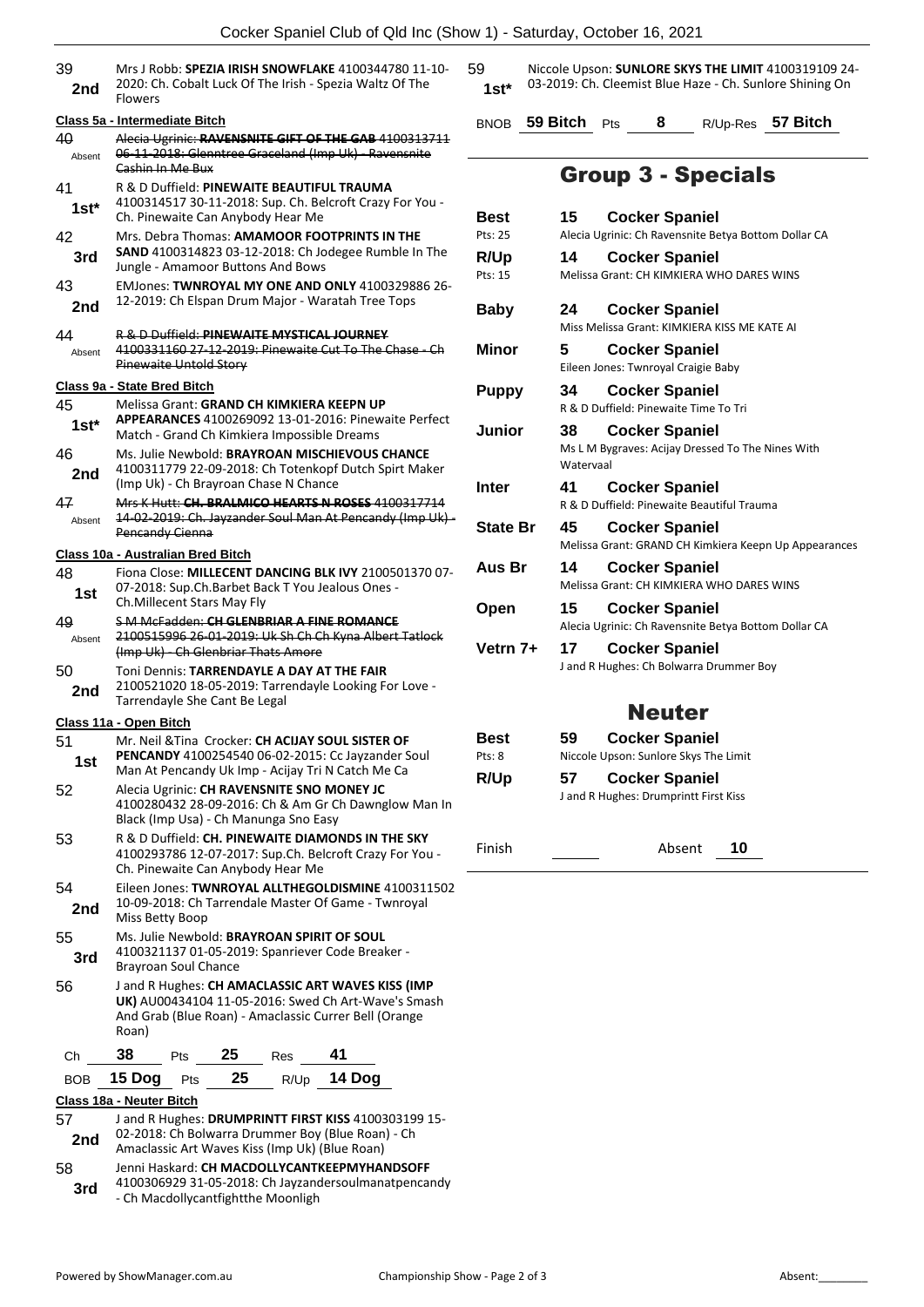|               | COCKEL OPAILIEL CIUD OF QUI ITIC (OFFORM                                                                                                                                   |         |  |  |  |
|---------------|----------------------------------------------------------------------------------------------------------------------------------------------------------------------------|---------|--|--|--|
| 39<br>2nd     | Mrs J Robb: SPEZIA IRISH SNOWFLAKE 4100344780 11-10-<br>2020: Ch. Cobalt Luck Of The Irish - Spezia Waltz Of The<br><b>Flowers</b>                                         | 59      |  |  |  |
|               | Class 5a - Intermediate Bitch                                                                                                                                              | B       |  |  |  |
| 40<br>Absent  | Alecia Ugrinic: RAVENSNITE GIFT OF THE GAB 4100313711<br>06-11-2018: Glenntree Graceland (Imp Uk) - Ravensnite                                                             |         |  |  |  |
|               | Cashin In Me Bux                                                                                                                                                           |         |  |  |  |
| 41<br>$1st^*$ | R & D Duffield: PINEWAITE BEAUTIFUL TRAUMA<br>4100314517 30-11-2018: Sup. Ch. Belcroft Crazy For You -<br>Ch. Pinewaite Can Anybody Hear Me                                | В       |  |  |  |
| 42<br>3rd     | Mrs. Debra Thomas: AMAMOOR FOOTPRINTS IN THE<br><b>SAND</b> 4100314823 03-12-2018: Ch Jodegee Rumble In The<br>Jungle - Amamoor Buttons And Bows                           | P<br>R  |  |  |  |
| 43<br>2nd     | EMJones: TWNROYAL MY ONE AND ONLY 4100329886 26-<br>12-2019: Ch Elspan Drum Major - Waratah Tree Tops                                                                      | P<br>В  |  |  |  |
| 44<br>Absent  | <b>R &amp; D Duffield: PINEWAITE MYSTICAL JOURNEY</b><br>4100331160 27-12-2019: Pinewaite Cut To The Chase - Ch<br><b>Pinewaite Untold Story</b>                           | N       |  |  |  |
|               | Class 9a - State Bred Bitch                                                                                                                                                | Ρ       |  |  |  |
| 45<br>1st*    | Melissa Grant: GRAND CH KIMKIERA KEEPN UP<br>APPEARANCES 4100269092 13-01-2016: Pinewaite Perfect<br>Match - Grand Ch Kimkiera Impossible Dreams                           | J       |  |  |  |
| 46<br>2nd     | Ms. Julie Newbold: BRAYROAN MISCHIEVOUS CHANCE<br>4100311779 22-09-2018: Ch Totenkopf Dutch Spirt Maker<br>(Imp Uk) - Ch Brayroan Chase N Chance<br>Ir                     |         |  |  |  |
| 47            | Mrs K Hutt: CH. BRALMICO HEARTS N ROSES 4100317714                                                                                                                         |         |  |  |  |
| Absent        | 14 02 2019: Ch. Jayzander Soul Man At Pencandy (Imp Uk) -<br><b>Pencandy Cienna</b>                                                                                        | S       |  |  |  |
|               | Class 10a - Australian Bred Bitch                                                                                                                                          | Α       |  |  |  |
| 48<br>1st     | Fiona Close: MILLECENT DANCING BLK IVY 2100501370 07-<br>07-2018: Sup.Ch.Barbet Back T You Jealous Ones -<br>Ch. Millecent Stars May Fly                                   |         |  |  |  |
| 49            | S M McFadden: CH GLENBRIAR A FINE ROMANCE                                                                                                                                  | C       |  |  |  |
| Absent        | 2100515996 26-01-2019: Uk Sh Ch Ch Kyna Albert Tatlock<br>(Imp Uk) - Ch Glenbriar Thats Amore                                                                              | V       |  |  |  |
| 50<br>2nd     | Toni Dennis: TARRENDAYLE A DAY AT THE FAIR<br>2100521020 18-05-2019: Tarrendayle Looking For Love -<br>Tarrendayle She Cant Be Legal                                       |         |  |  |  |
|               | Class 11a - Open Bitch                                                                                                                                                     |         |  |  |  |
| 51<br>1st     | Mr. Neil & Tina Crocker: CH ACIJAY SOUL SISTER OF<br>PENCANDY 4100254540 06-02-2015: Cc Jayzander Soul                                                                     | в<br>P۱ |  |  |  |
|               | Man At Pencandy Uk Imp - Acijay Tri N Catch Me Ca                                                                                                                          | R       |  |  |  |
| 52            | Alecia Ugrinic: CH RAVENSNITE SNO MONEY JC<br>4100280432 28-09-2016: Ch & Am Gr Ch Dawnglow Man In<br>Black (Imp Usa) - Ch Manunga Sno Easy                                |         |  |  |  |
| 53            | R & D Duffield: CH. PINEWAITE DIAMONDS IN THE SKY<br>Fi<br>4100293786 12-07-2017: Sup.Ch. Belcroft Crazy For You -                                                         |         |  |  |  |
| 54            | Ch. Pinewaite Can Anybody Hear Me<br>Eileen Jones: TWNROYAL ALLTHEGOLDISMINE 4100311502                                                                                    |         |  |  |  |
| 2nd           | 10-09-2018: Ch Tarrendale Master Of Game - Twnroyal<br>Miss Betty Boop                                                                                                     |         |  |  |  |
| 55            | Ms. Julie Newbold: BRAYROAN SPIRIT OF SOUL                                                                                                                                 |         |  |  |  |
| 3rd           | 4100321137 01-05-2019: Spanriever Code Breaker -<br><b>Brayroan Soul Chance</b>                                                                                            |         |  |  |  |
| 56            | J and R Hughes: CH AMACLASSIC ART WAVES KISS (IMP<br>UK) AU00434104 11-05-2016: Swed Ch Art-Wave's Smash<br>And Grab (Blue Roan) - Amaclassic Currer Bell (Orange<br>Roan) |         |  |  |  |
| Ch            | 25<br>38<br>41<br>Pts<br>Res                                                                                                                                               |         |  |  |  |
| <b>BOB</b>    | 14 Dog<br>25<br>15 Dog<br>R/Up<br>Pts                                                                                                                                      |         |  |  |  |
|               | Class 18a - Neuter Bitch                                                                                                                                                   |         |  |  |  |
| 57            | J and R Hughes: DRUMPRINTT FIRST KISS 4100303199 15-                                                                                                                       |         |  |  |  |
| 2nd           | 02-2018: Ch Bolwarra Drummer Boy (Blue Roan) - Ch                                                                                                                          |         |  |  |  |

- **2nd** 02-2018: Ch Bolwarra Drummer Boy (Blue Roan)<br>Amaclassic Art Waves Kiss (Imp Uk) (Blue Roan)
- 58 Jenni Haskard: **CH MACDOLLYCANTKEEPMYHANDSOFF** 4100306929 31-05-2018: Ch Jayzandersoulmanatpencandy **3rd** 4100306929 31-05-2018: Ch Jayzand<br>
- Ch Macdollycantfightthe Moonligh

59 Niccole Upson: **SUNLORE SKYS THE LIMIT** 4100319109 24- 03-2019: Ch. Cleemist Blue Haze - Ch. Sunlore Shining On **1st\***

BNOB **59 Bitch** Pts **8** R/Up-Res **57 Bitch**

## Group 3 - Specials

| Best            | 15        | <b>Cocker Spaniel</b>                                 |
|-----------------|-----------|-------------------------------------------------------|
| Pts: 25         |           | Alecia Ugrinic: Ch Ravensnite Betya Bottom Dollar CA  |
| R/Up            | 14        | <b>Cocker Spaniel</b>                                 |
| Pts: 15         |           | Melissa Grant: CH KIMKIERA WHO DARES WINS             |
| Baby            | 24        | <b>Cocker Spaniel</b>                                 |
|                 |           | Miss Melissa Grant: KIMKIERA KISS ME KATE AI          |
| Minor           | 5         | <b>Cocker Spaniel</b>                                 |
|                 |           | Eileen Jones: Twnroyal Craigie Baby                   |
| <b>Puppy</b>    | 34        | <b>Cocker Spaniel</b>                                 |
|                 |           | R & D Duffield: Pinewaite Time To Tri                 |
| Junior          | 38.       | <b>Cocker Spaniel</b>                                 |
|                 |           | Ms L M Bygraves: Acijay Dressed To The Nines With     |
|                 | Watervaal |                                                       |
| Inter           | 41        | <b>Cocker Spaniel</b>                                 |
|                 |           | R & D Duffield: Pinewaite Beautiful Trauma            |
| <b>State Br</b> | 45.       | <b>Cocker Spaniel</b>                                 |
|                 |           | Melissa Grant: GRAND CH Kimkiera Keepn Up Appearances |
| Aus Br          | 14        | <b>Cocker Spaniel</b>                                 |
|                 |           | Melissa Grant: CH KIMKIFRA WHO DARES WINS             |
| Open            | 15        | <b>Cocker Spaniel</b>                                 |
|                 |           | Alecia Ugrinic: Ch Ravensnite Betya Bottom Dollar CA  |
| Vetrn 7+        | 17        | <b>Cocker Spaniel</b>                                 |
|                 |           | J and R Hughes: Ch Bolwarra Drummer Boy               |
|                 |           |                                                       |
|                 |           | Neuter                                                |

| Best   | <b>Cocker Spaniel</b><br>59           |  |  |
|--------|---------------------------------------|--|--|
| Pts: 8 | Niccole Upson: Sunlore Skys The Limit |  |  |
| R/Up   | <b>Cocker Spaniel</b><br>57           |  |  |
|        | J and R Hughes: Drumprintt First Kiss |  |  |

Finish Absent **10**